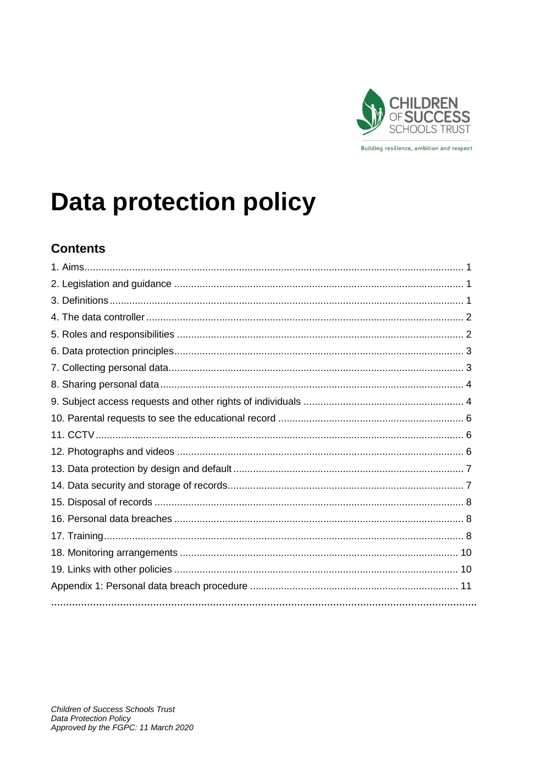

# **Data protection policy**

# **Contents**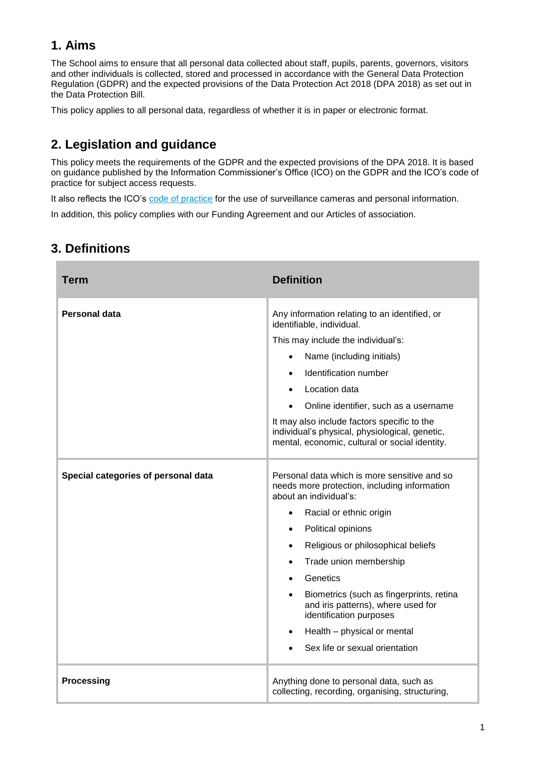# **1. Aims**

The School aims to ensure that all personal data collected about staff, pupils, parents, governors, visitors and other individuals is collected, stored and processed in accordance with the [General Data Protection](http://data.consilium.europa.eu/doc/document/ST-5419-2016-INIT/en/pdf)  [Regulation \(GDPR\)](http://data.consilium.europa.eu/doc/document/ST-5419-2016-INIT/en/pdf) and the expected provisions of the Data Protection Act 2018 (DPA 2018) as set out in the [Data Protection Bill.](https://publications.parliament.uk/pa/bills/cbill/2017-2019/0153/18153.pdf)

This policy applies to all personal data, regardless of whether it is in paper or electronic format.

# **2. Legislation and guidance**

This policy meets the requirements of the GDPR and the expected provisions of the DPA 2018. It is based on guidance published by the Information Commissioner's Office (ICO) on the [GDPR](https://ico.org.uk/for-organisations/guide-to-the-general-data-protection-regulation-gdpr/) and the ICO's [code of](https://ico.org.uk/media/for-organisations/documents/2014223/subject-access-code-of-practice.pdf)  [practice for subject access requests.](https://ico.org.uk/media/for-organisations/documents/2014223/subject-access-code-of-practice.pdf)

It also reflects the ICO's [code of practice](https://ico.org.uk/media/for-organisations/documents/1542/cctv-code-of-practice.pdf) for the use of surveillance cameras and personal information.

In addition, this policy complies with our Funding Agreement and our Articles of association.

| <b>Term</b>                         | <b>Definition</b>                                                                                                                               |
|-------------------------------------|-------------------------------------------------------------------------------------------------------------------------------------------------|
| Personal data                       | Any information relating to an identified, or<br>identifiable, individual.                                                                      |
|                                     | This may include the individual's:                                                                                                              |
|                                     | Name (including initials)                                                                                                                       |
|                                     | Identification number<br>$\bullet$                                                                                                              |
|                                     | Location data                                                                                                                                   |
|                                     | Online identifier, such as a username                                                                                                           |
|                                     | It may also include factors specific to the<br>individual's physical, physiological, genetic,<br>mental, economic, cultural or social identity. |
| Special categories of personal data | Personal data which is more sensitive and so<br>needs more protection, including information<br>about an individual's:                          |
|                                     | Racial or ethnic origin<br>$\bullet$                                                                                                            |
|                                     | Political opinions<br>$\bullet$                                                                                                                 |
|                                     | Religious or philosophical beliefs<br>$\bullet$                                                                                                 |
|                                     | Trade union membership<br>$\bullet$                                                                                                             |
|                                     | Genetics<br>$\bullet$                                                                                                                           |
|                                     | Biometrics (such as fingerprints, retina<br>$\bullet$<br>and iris patterns), where used for<br>identification purposes                          |
|                                     | Health - physical or mental<br>$\bullet$                                                                                                        |
|                                     | Sex life or sexual orientation                                                                                                                  |
| <b>Processing</b>                   | Anything done to personal data, such as<br>collecting, recording, organising, structuring,                                                      |

# **3. Definitions**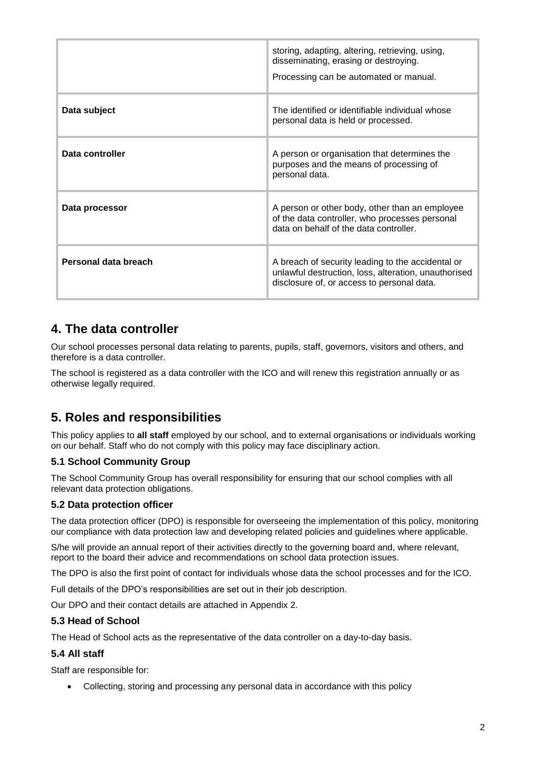|                      | storing, adapting, altering, retrieving, using,<br>disseminating, erasing or destroying.<br>Processing can be automated or manual.                      |
|----------------------|---------------------------------------------------------------------------------------------------------------------------------------------------------|
| Data subject         | The identified or identifiable individual whose<br>personal data is held or processed.                                                                  |
| Data controller      | A person or organisation that determines the<br>purposes and the means of processing of<br>personal data.                                               |
| Data processor       | A person or other body, other than an employee<br>of the data controller, who processes personal<br>data on behalf of the data controller.              |
| Personal data breach | A breach of security leading to the accidental or<br>unlawful destruction, loss, alteration, unauthorised<br>disclosure of, or access to personal data. |

# **4. The data controller**

Our school processes personal data relating to parents, pupils, staff, governors, visitors and others, and therefore is a data controller.

The school is registered as a data controller with the ICO and will renew this registration annually or as otherwise legally required.

# **5. Roles and responsibilities**

This policy applies to **all staff** employed by our school, and to external organisations or individuals working on our behalf. Staff who do not comply with this policy may face disciplinary action.

#### **5.1 School Community Group**

The School Community Group has overall responsibility for ensuring that our school complies with all relevant data protection obligations.

#### **5.2 Data protection officer**

The data protection officer (DPO) is responsible for overseeing the implementation of this policy, monitoring our compliance with data protection law and developing related policies and guidelines where applicable.

S/he will provide an annual report of their activities directly to the governing board and, where relevant, report to the board their advice and recommendations on school data protection issues.

The DPO is also the first point of contact for individuals whose data the school processes and for the ICO.

Full details of the DPO's responsibilities are set out in their job description.

Our DPO and their contact details are attached in Appendix 2.

#### **5.3 Head of School**

The Head of School acts as the representative of the data controller on a day-to-day basis.

#### **5.4 All staff**

Staff are responsible for:

Collecting, storing and processing any personal data in accordance with this policy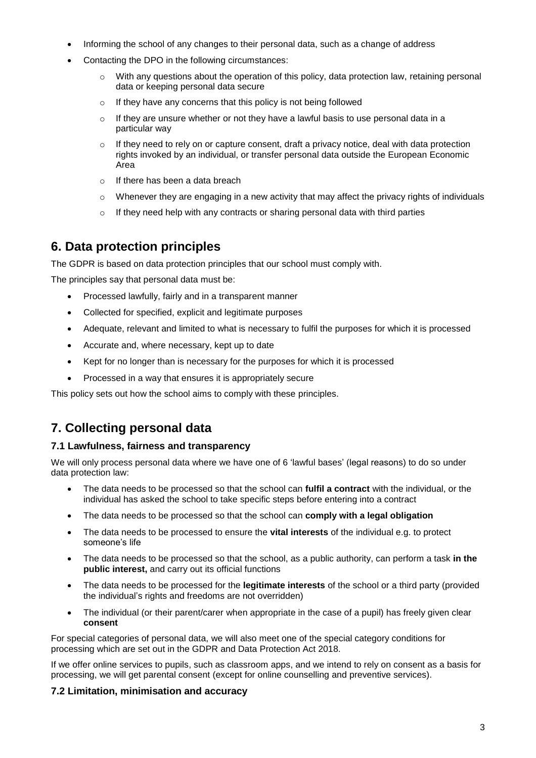- Informing the school of any changes to their personal data, such as a change of address
- Contacting the DPO in the following circumstances:
	- $\circ$  With any questions about the operation of this policy, data protection law, retaining personal data or keeping personal data secure
	- o If they have any concerns that this policy is not being followed
	- $\circ$  If they are unsure whether or not they have a lawful basis to use personal data in a particular way
	- $\circ$  If they need to rely on or capture consent, draft a privacy notice, deal with data protection rights invoked by an individual, or transfer personal data outside the European Economic Area
	- o If there has been a data breach
	- $\circ$  Whenever they are engaging in a new activity that may affect the privacy rights of individuals
	- $\circ$  If they need help with any contracts or sharing personal data with third parties

### **6. Data protection principles**

The GDPR is based on data protection principles that our school must comply with.

The principles say that personal data must be:

- Processed lawfully, fairly and in a transparent manner
- Collected for specified, explicit and legitimate purposes
- Adequate, relevant and limited to what is necessary to fulfil the purposes for which it is processed
- Accurate and, where necessary, kept up to date
- Kept for no longer than is necessary for the purposes for which it is processed
- Processed in a way that ensures it is appropriately secure

This policy sets out how the school aims to comply with these principles.

# **7. Collecting personal data**

#### **7.1 Lawfulness, fairness and transparency**

We will only process personal data where we have one of 6 'lawful bases' (legal reasons) to do so under data protection law:

- The data needs to be processed so that the school can **fulfil a contract** with the individual, or the individual has asked the school to take specific steps before entering into a contract
- The data needs to be processed so that the school can **comply with a legal obligation**
- The data needs to be processed to ensure the **vital interests** of the individual e.g. to protect someone's life
- The data needs to be processed so that the school, as a public authority, can perform a task **in the public interest,** and carry out its official functions
- The data needs to be processed for the **legitimate interests** of the school or a third party (provided the individual's rights and freedoms are not overridden)
- The individual (or their parent/carer when appropriate in the case of a pupil) has freely given clear **consent**

For special categories of personal data, we will also meet one of the special category conditions for processing which are set out in the GDPR and Data Protection Act 2018.

If we offer online services to pupils, such as classroom apps, and we intend to rely on consent as a basis for processing, we will get parental consent (except for online counselling and preventive services).

#### **7.2 Limitation, minimisation and accuracy**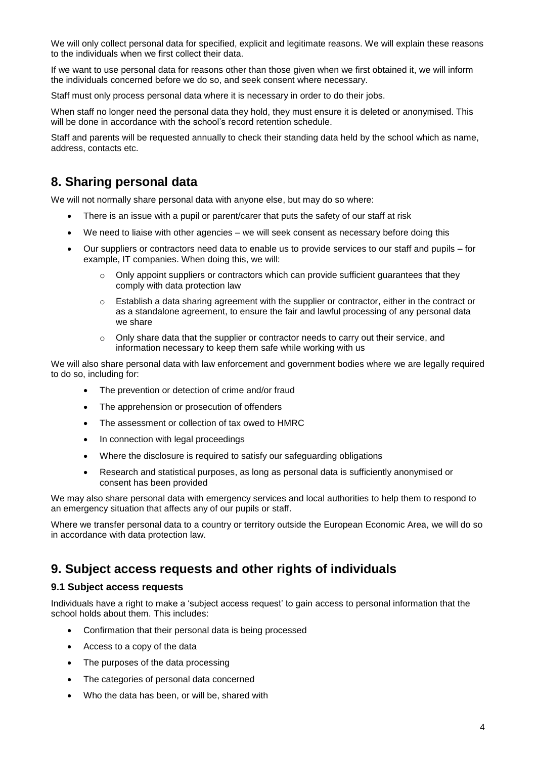We will only collect personal data for specified, explicit and legitimate reasons. We will explain these reasons to the individuals when we first collect their data.

If we want to use personal data for reasons other than those given when we first obtained it, we will inform the individuals concerned before we do so, and seek consent where necessary.

Staff must only process personal data where it is necessary in order to do their jobs.

When staff no longer need the personal data they hold, they must ensure it is deleted or anonymised. This will be done in accordance with the school's record retention schedule.

Staff and parents will be requested annually to check their standing data held by the school which as name, address, contacts etc.

### **8. Sharing personal data**

We will not normally share personal data with anyone else, but may do so where:

- There is an issue with a pupil or parent/carer that puts the safety of our staff at risk
- We need to liaise with other agencies we will seek consent as necessary before doing this
- Our suppliers or contractors need data to enable us to provide services to our staff and pupils for example, IT companies. When doing this, we will:
	- $\circ$  Only appoint suppliers or contractors which can provide sufficient guarantees that they comply with data protection law
	- $\circ$  Establish a data sharing agreement with the supplier or contractor, either in the contract or as a standalone agreement, to ensure the fair and lawful processing of any personal data we share
	- $\circ$  Only share data that the supplier or contractor needs to carry out their service, and information necessary to keep them safe while working with us

We will also share personal data with law enforcement and government bodies where we are legally required to do so, including for:

- The prevention or detection of crime and/or fraud
- The apprehension or prosecution of offenders
- The assessment or collection of tax owed to HMRC
- In connection with legal proceedings
- Where the disclosure is required to satisfy our safeguarding obligations
- Research and statistical purposes, as long as personal data is sufficiently anonymised or consent has been provided

We may also share personal data with emergency services and local authorities to help them to respond to an emergency situation that affects any of our pupils or staff.

Where we transfer personal data to a country or territory outside the European Economic Area, we will do so in accordance with data protection law.

### **9. Subject access requests and other rights of individuals**

#### **9.1 Subject access requests**

Individuals have a right to make a 'subject access request' to gain access to personal information that the school holds about them. This includes:

- Confirmation that their personal data is being processed
- Access to a copy of the data
- The purposes of the data processing
- The categories of personal data concerned
- Who the data has been, or will be, shared with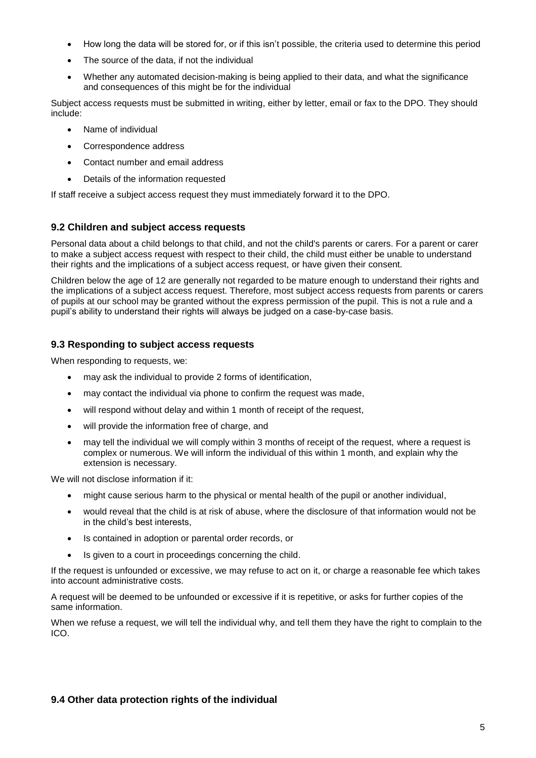- How long the data will be stored for, or if this isn't possible, the criteria used to determine this period
- The source of the data, if not the individual
- Whether any automated decision-making is being applied to their data, and what the significance and consequences of this might be for the individual

Subject access requests must be submitted in writing, either by letter, email or fax to the DPO. They should include:

- Name of individual
- Correspondence address
- Contact number and email address
- Details of the information requested

If staff receive a subject access request they must immediately forward it to the DPO.

#### **9.2 Children and subject access requests**

Personal data about a child belongs to that child, and not the child's parents or carers. For a parent or carer to make a subject access request with respect to their child, the child must either be unable to understand their rights and the implications of a subject access request, or have given their consent.

Children below the age of 12 are generally not regarded to be mature enough to understand their rights and the implications of a subject access request. Therefore, most subject access requests from parents or carers of pupils at our school may be granted without the express permission of the pupil. This is not a rule and a pupil's ability to understand their rights will always be judged on a case-by-case basis.

#### **9.3 Responding to subject access requests**

When responding to requests, we:

- may ask the individual to provide 2 forms of identification,
- may contact the individual via phone to confirm the request was made,
- will respond without delay and within 1 month of receipt of the request,
- will provide the information free of charge, and
- may tell the individual we will comply within 3 months of receipt of the request, where a request is complex or numerous. We will inform the individual of this within 1 month, and explain why the extension is necessary.

We will not disclose information if it:

- might cause serious harm to the physical or mental health of the pupil or another individual,
- would reveal that the child is at risk of abuse, where the disclosure of that information would not be in the child's best interests,
- Is contained in adoption or parental order records, or
- Is given to a court in proceedings concerning the child.

If the request is unfounded or excessive, we may refuse to act on it, or charge a reasonable fee which takes into account administrative costs.

A request will be deemed to be unfounded or excessive if it is repetitive, or asks for further copies of the same information.

When we refuse a request, we will tell the individual why, and tell them they have the right to complain to the ICO.

#### **9.4 Other data protection rights of the individual**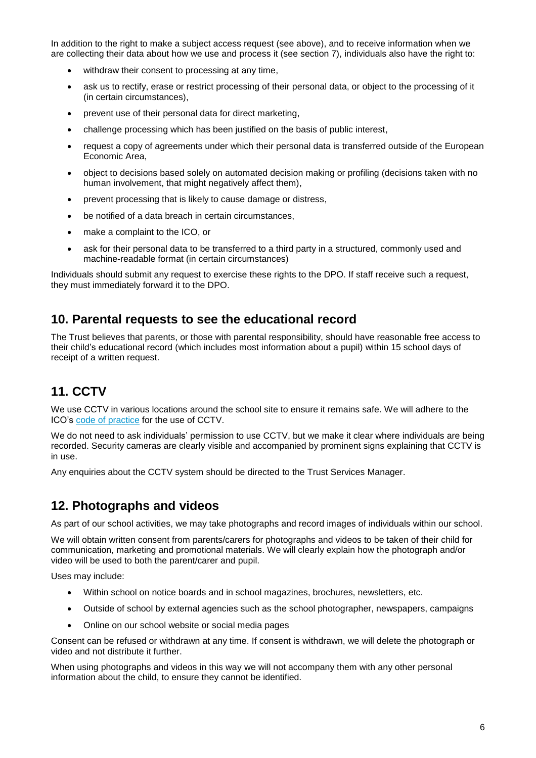In addition to the right to make a subject access request (see above), and to receive information when we are collecting their data about how we use and process it (see section 7), individuals also have the right to:

- withdraw their consent to processing at any time,
- ask us to rectify, erase or restrict processing of their personal data, or object to the processing of it (in certain circumstances),
- prevent use of their personal data for direct marketing,
- challenge processing which has been justified on the basis of public interest,
- request a copy of agreements under which their personal data is transferred outside of the European Economic Area,
- object to decisions based solely on automated decision making or profiling (decisions taken with no human involvement, that might negatively affect them),
- prevent processing that is likely to cause damage or distress,
- be notified of a data breach in certain circumstances,
- make a complaint to the ICO, or
- ask for their personal data to be transferred to a third party in a structured, commonly used and machine-readable format (in certain circumstances)

Individuals should submit any request to exercise these rights to the DPO. If staff receive such a request, they must immediately forward it to the DPO.

### **10. Parental requests to see the educational record**

The Trust believes that parents, or those with parental responsibility, should have reasonable free access to their child's educational record (which includes most information about a pupil) within 15 school days of receipt of a written request.

# **11. CCTV**

We use CCTV in various locations around the school site to ensure it remains safe. We will adhere to the ICO's [code of practice](https://ico.org.uk/media/for-organisations/documents/1542/cctv-code-of-practice.pdf) for the use of CCTV.

We do not need to ask individuals' permission to use CCTV, but we make it clear where individuals are being recorded. Security cameras are clearly visible and accompanied by prominent signs explaining that CCTV is in use.

Any enquiries about the CCTV system should be directed to the Trust Services Manager.

### **12. Photographs and videos**

As part of our school activities, we may take photographs and record images of individuals within our school.

We will obtain written consent from parents/carers for photographs and videos to be taken of their child for communication, marketing and promotional materials. We will clearly explain how the photograph and/or video will be used to both the parent/carer and pupil.

Uses may include:

- Within school on notice boards and in school magazines, brochures, newsletters, etc.
- Outside of school by external agencies such as the school photographer, newspapers, campaigns
- Online on our school website or social media pages

Consent can be refused or withdrawn at any time. If consent is withdrawn, we will delete the photograph or video and not distribute it further.

When using photographs and videos in this way we will not accompany them with any other personal information about the child, to ensure they cannot be identified.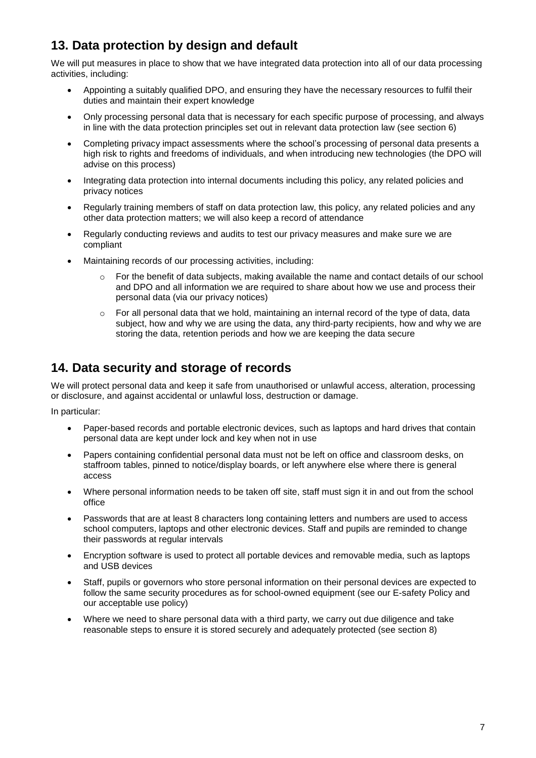# **13. Data protection by design and default**

We will put measures in place to show that we have integrated data protection into all of our data processing activities, including:

- Appointing a suitably qualified DPO, and ensuring they have the necessary resources to fulfil their duties and maintain their expert knowledge
- Only processing personal data that is necessary for each specific purpose of processing, and always in line with the data protection principles set out in relevant data protection law (see section 6)
- Completing privacy impact assessments where the school's processing of personal data presents a high risk to rights and freedoms of individuals, and when introducing new technologies (the DPO will advise on this process)
- Integrating data protection into internal documents including this policy, any related policies and privacy notices
- Regularly training members of staff on data protection law, this policy, any related policies and any other data protection matters; we will also keep a record of attendance
- Regularly conducting reviews and audits to test our privacy measures and make sure we are compliant
- Maintaining records of our processing activities, including:
	- $\circ$  For the benefit of data subjects, making available the name and contact details of our school and DPO and all information we are required to share about how we use and process their personal data (via our privacy notices)
	- $\circ$  For all personal data that we hold, maintaining an internal record of the type of data, data subject, how and why we are using the data, any third-party recipients, how and why we are storing the data, retention periods and how we are keeping the data secure

# **14. Data security and storage of records**

We will protect personal data and keep it safe from unauthorised or unlawful access, alteration, processing or disclosure, and against accidental or unlawful loss, destruction or damage.

In particular:

- Paper-based records and portable electronic devices, such as laptops and hard drives that contain personal data are kept under lock and key when not in use
- Papers containing confidential personal data must not be left on office and classroom desks, on staffroom tables, pinned to notice/display boards, or left anywhere else where there is general access
- Where personal information needs to be taken off site, staff must sign it in and out from the school office
- Passwords that are at least 8 characters long containing letters and numbers are used to access school computers, laptops and other electronic devices. Staff and pupils are reminded to change their passwords at regular intervals
- Encryption software is used to protect all portable devices and removable media, such as laptops and USB devices
- Staff, pupils or governors who store personal information on their personal devices are expected to follow the same security procedures as for school-owned equipment (see our E-safety Policy and our acceptable use policy)
- Where we need to share personal data with a third party, we carry out due diligence and take reasonable steps to ensure it is stored securely and adequately protected (see section 8)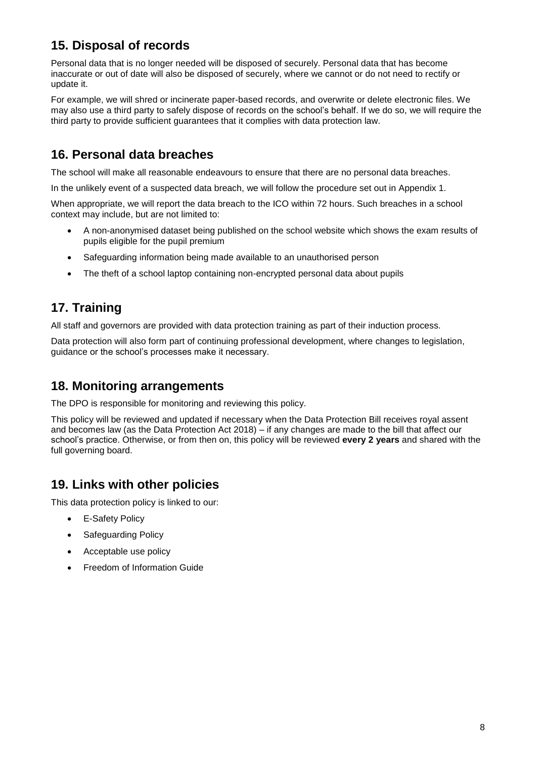# **15. Disposal of records**

Personal data that is no longer needed will be disposed of securely. Personal data that has become inaccurate or out of date will also be disposed of securely, where we cannot or do not need to rectify or update it.

For example, we will shred or incinerate paper-based records, and overwrite or delete electronic files. We may also use a third party to safely dispose of records on the school's behalf. If we do so, we will require the third party to provide sufficient guarantees that it complies with data protection law.

# **16. Personal data breaches**

The school will make all reasonable endeavours to ensure that there are no personal data breaches.

In the unlikely event of a suspected data breach, we will follow the procedure set out in Appendix 1.

When appropriate, we will report the data breach to the ICO within 72 hours. Such breaches in a school context may include, but are not limited to:

- A non-anonymised dataset being published on the school website which shows the exam results of pupils eligible for the pupil premium
- Safeguarding information being made available to an unauthorised person
- The theft of a school laptop containing non-encrypted personal data about pupils

# **17. Training**

All staff and governors are provided with data protection training as part of their induction process.

Data protection will also form part of continuing professional development, where changes to legislation, guidance or the school's processes make it necessary.

### **18. Monitoring arrangements**

The DPO is responsible for monitoring and reviewing this policy.

This policy will be reviewed and updated if necessary when the Data Protection Bill receives royal assent and becomes law (as the Data Protection Act 2018) – if any changes are made to the bill that affect our school's practice. Otherwise, or from then on, this policy will be reviewed **every 2 years** and shared with the full governing board.

# **19. Links with other policies**

This data protection policy is linked to our:

- E-Safety Policy
- Safeguarding Policy
- Acceptable use policy
- Freedom of Information Guide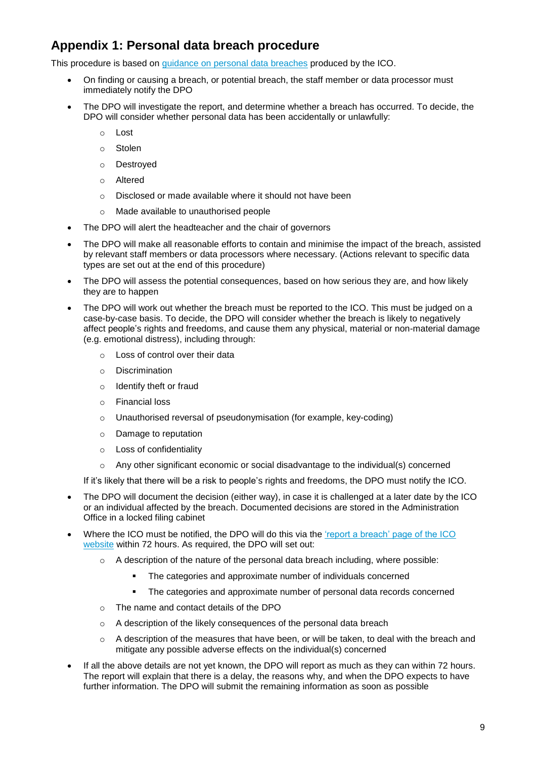# **Appendix 1: Personal data breach procedure**

This procedure is based on [guidance on personal data breaches](https://ico.org.uk/for-organisations/guide-to-the-general-data-protection-regulation-gdpr/personal-data-breaches/) produced by the ICO.

- On finding or causing a breach, or potential breach, the staff member or data processor must immediately notify the DPO
- The DPO will investigate the report, and determine whether a breach has occurred. To decide, the DPO will consider whether personal data has been accidentally or unlawfully:
	- o Lost
	- o Stolen
	- o Destroyed
	- o Altered
	- o Disclosed or made available where it should not have been
	- o Made available to unauthorised people
- The DPO will alert the headteacher and the chair of governors
- The DPO will make all reasonable efforts to contain and minimise the impact of the breach, assisted by relevant staff members or data processors where necessary. (Actions relevant to specific data types are set out at the end of this procedure)
- The DPO will assess the potential consequences, based on how serious they are, and how likely they are to happen
- The DPO will work out whether the breach must be reported to the ICO. This must be judged on a case-by-case basis. To decide, the DPO will consider whether the breach is likely to negatively affect people's rights and freedoms, and cause them any physical, material or non-material damage (e.g. emotional distress), including through:
	- o Loss of control over their data
	- o Discrimination
	- o Identify theft or fraud
	- o Financial loss
	- o Unauthorised reversal of pseudonymisation (for example, key-coding)
	- o Damage to reputation
	- o Loss of confidentiality
	- $\circ$  Any other significant economic or social disadvantage to the individual(s) concerned

If it's likely that there will be a risk to people's rights and freedoms, the DPO must notify the ICO.

- The DPO will document the decision (either way), in case it is challenged at a later date by the ICO or an individual affected by the breach. Documented decisions are stored in the Administration Office in a locked filing cabinet
- Where the ICO must be notified, the DPO will do this via the ['report a breach' page of the ICO](https://ico.org.uk/for-organisations/report-a-breach/)  [website](https://ico.org.uk/for-organisations/report-a-breach/) within 72 hours. As required, the DPO will set out:
	- A description of the nature of the personal data breach including, where possible:
		- The categories and approximate number of individuals concerned
		- The categories and approximate number of personal data records concerned
	- o The name and contact details of the DPO
	- o A description of the likely consequences of the personal data breach
	- $\circ$  A description of the measures that have been, or will be taken, to deal with the breach and mitigate any possible adverse effects on the individual(s) concerned
- If all the above details are not yet known, the DPO will report as much as they can within 72 hours. The report will explain that there is a delay, the reasons why, and when the DPO expects to have further information. The DPO will submit the remaining information as soon as possible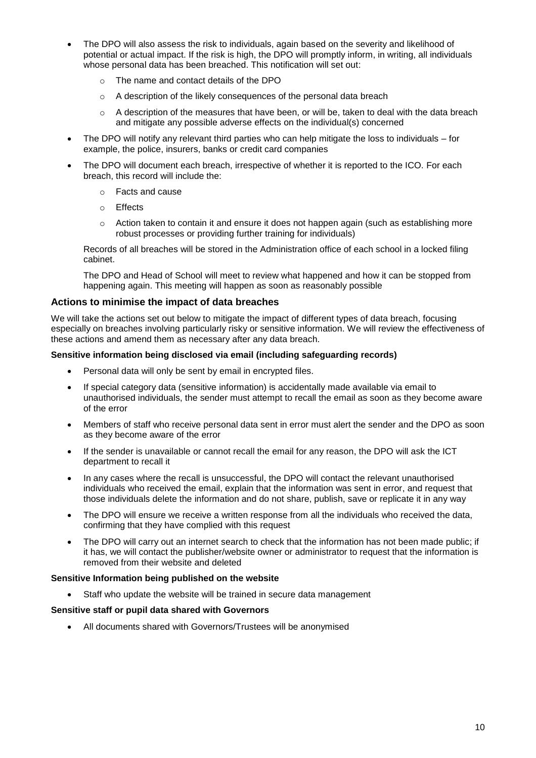- The DPO will also assess the risk to individuals, again based on the severity and likelihood of potential or actual impact. If the risk is high, the DPO will promptly inform, in writing, all individuals whose personal data has been breached. This notification will set out:
	- o The name and contact details of the DPO
	- $\circ$  A description of the likely consequences of the personal data breach
	- o A description of the measures that have been, or will be, taken to deal with the data breach and mitigate any possible adverse effects on the individual(s) concerned
- The DPO will notify any relevant third parties who can help mitigate the loss to individuals for example, the police, insurers, banks or credit card companies
- The DPO will document each breach, irrespective of whether it is reported to the ICO. For each breach, this record will include the:
	- o Facts and cause
	- o Effects
	- $\circ$  Action taken to contain it and ensure it does not happen again (such as establishing more robust processes or providing further training for individuals)

Records of all breaches will be stored in the Administration office of each school in a locked filing cabinet.

The DPO and Head of School will meet to review what happened and how it can be stopped from happening again. This meeting will happen as soon as reasonably possible

#### **Actions to minimise the impact of data breaches**

We will take the actions set out below to mitigate the impact of different types of data breach, focusing especially on breaches involving particularly risky or sensitive information. We will review the effectiveness of these actions and amend them as necessary after any data breach.

#### **Sensitive information being disclosed via email (including safeguarding records)**

- Personal data will only be sent by email in encrypted files.
- If special category data (sensitive information) is accidentally made available via email to unauthorised individuals, the sender must attempt to recall the email as soon as they become aware of the error
- Members of staff who receive personal data sent in error must alert the sender and the DPO as soon as they become aware of the error
- If the sender is unavailable or cannot recall the email for any reason, the DPO will ask the ICT department to recall it
- In any cases where the recall is unsuccessful, the DPO will contact the relevant unauthorised individuals who received the email, explain that the information was sent in error, and request that those individuals delete the information and do not share, publish, save or replicate it in any way
- The DPO will ensure we receive a written response from all the individuals who received the data, confirming that they have complied with this request
- The DPO will carry out an internet search to check that the information has not been made public; if it has, we will contact the publisher/website owner or administrator to request that the information is removed from their website and deleted

#### **Sensitive Information being published on the website**

Staff who update the website will be trained in secure data management

#### **Sensitive staff or pupil data shared with Governors**

All documents shared with Governors/Trustees will be anonymised